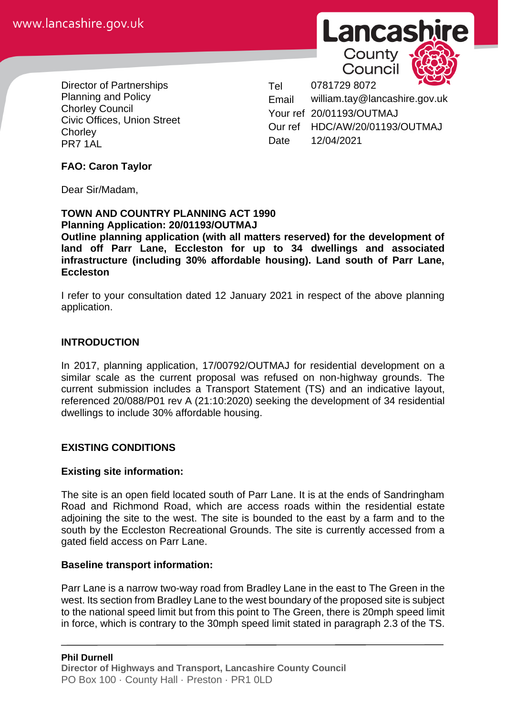

Director of Partnerships Planning and Policy Chorley Council Civic Offices, Union Street **Chorley** PR7 1AL

Tel 0781729 8072 Email william.tay@lancashire.gov.uk Your ref 20/01193/OUTMAJ Our ref HDC/AW/20/01193/OUTMAJ Date 12/04/2021

## **FAO: Caron Taylor**

Dear Sir/Madam,

#### **TOWN AND COUNTRY PLANNING ACT 1990 Planning Application: 20/01193/OUTMAJ**

**Outline planning application (with all matters reserved) for the development of land off Parr Lane, Eccleston for up to 34 dwellings and associated infrastructure (including 30% affordable housing). Land south of Parr Lane, Eccleston**

I refer to your consultation dated 12 January 2021 in respect of the above planning application.

#### **INTRODUCTION**

In 2017, planning application, 17/00792/OUTMAJ for residential development on a similar scale as the current proposal was refused on non-highway grounds. The current submission includes a Transport Statement (TS) and an indicative layout, referenced 20/088/P01 rev A (21:10:2020) seeking the development of 34 residential dwellings to include 30% affordable housing.

#### **EXISTING CONDITIONS**

#### **Existing site information:**

The site is an open field located south of Parr Lane. It is at the ends of Sandringham Road and Richmond Road, which are access roads within the residential estate adjoining the site to the west. The site is bounded to the east by a farm and to the south by the Eccleston Recreational Grounds. The site is currently accessed from a gated field access on Parr Lane.

#### **Baseline transport information:**

Parr Lane is a narrow two-way road from Bradley Lane in the east to The Green in the west. Its section from Bradley Lane to the west boundary of the proposed site is subject to the national speed limit but from this point to The Green, there is 20mph speed limit in force, which is contrary to the 30mph speed limit stated in paragraph 2.3 of the TS.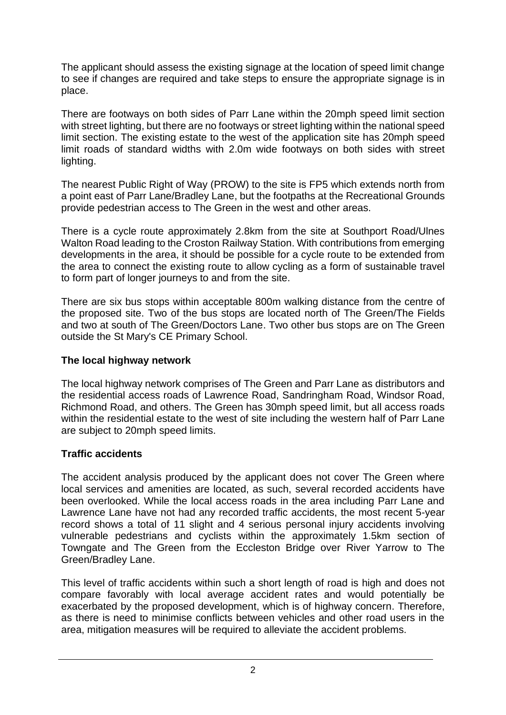The applicant should assess the existing signage at the location of speed limit change to see if changes are required and take steps to ensure the appropriate signage is in place.

There are footways on both sides of Parr Lane within the 20mph speed limit section with street lighting, but there are no footways or street lighting within the national speed limit section. The existing estate to the west of the application site has 20mph speed limit roads of standard widths with 2.0m wide footways on both sides with street lighting.

The nearest Public Right of Way (PROW) to the site is FP5 which extends north from a point east of Parr Lane/Bradley Lane, but the footpaths at the Recreational Grounds provide pedestrian access to The Green in the west and other areas.

There is a cycle route approximately 2.8km from the site at Southport Road/Ulnes Walton Road leading to the Croston Railway Station. With contributions from emerging developments in the area, it should be possible for a cycle route to be extended from the area to connect the existing route to allow cycling as a form of sustainable travel to form part of longer journeys to and from the site.

There are six bus stops within acceptable 800m walking distance from the centre of the proposed site. Two of the bus stops are located north of The Green/The Fields and two at south of The Green/Doctors Lane. Two other bus stops are on The Green outside the St Mary's CE Primary School.

# **The local highway network**

The local highway network comprises of The Green and Parr Lane as distributors and the residential access roads of Lawrence Road, Sandringham Road, Windsor Road, Richmond Road, and others. The Green has 30mph speed limit, but all access roads within the residential estate to the west of site including the western half of Parr Lane are subject to 20mph speed limits.

# **Traffic accidents**

The accident analysis produced by the applicant does not cover The Green where local services and amenities are located, as such, several recorded accidents have been overlooked. While the local access roads in the area including Parr Lane and Lawrence Lane have not had any recorded traffic accidents, the most recent 5-year record shows a total of 11 slight and 4 serious personal injury accidents involving vulnerable pedestrians and cyclists within the approximately 1.5km section of Towngate and The Green from the Eccleston Bridge over River Yarrow to The Green/Bradley Lane.

This level of traffic accidents within such a short length of road is high and does not compare favorably with local average accident rates and would potentially be exacerbated by the proposed development, which is of highway concern. Therefore, as there is need to minimise conflicts between vehicles and other road users in the area, mitigation measures will be required to alleviate the accident problems.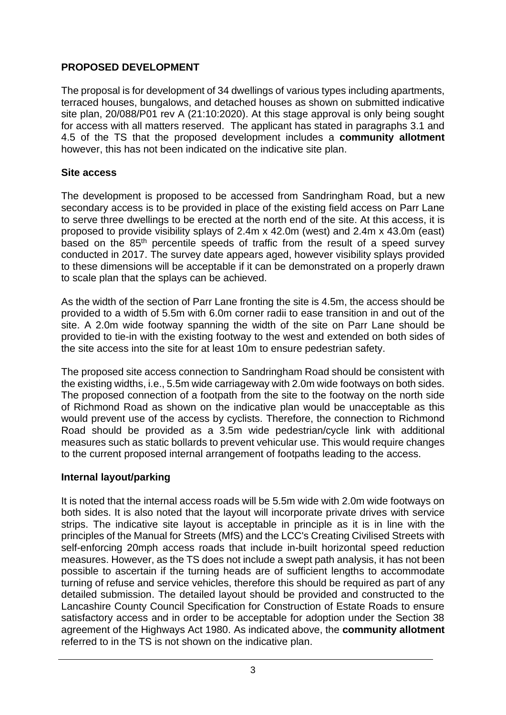## **PROPOSED DEVELOPMENT**

The proposal is for development of 34 dwellings of various types including apartments, terraced houses, bungalows, and detached houses as shown on submitted indicative site plan, 20/088/P01 rev A (21:10:2020). At this stage approval is only being sought for access with all matters reserved. The applicant has stated in paragraphs 3.1 and 4.5 of the TS that the proposed development includes a **community allotment** however, this has not been indicated on the indicative site plan.

## **Site access**

The development is proposed to be accessed from Sandringham Road, but a new secondary access is to be provided in place of the existing field access on Parr Lane to serve three dwellings to be erected at the north end of the site. At this access, it is proposed to provide visibility splays of 2.4m x 42.0m (west) and 2.4m x 43.0m (east) based on the 85<sup>th</sup> percentile speeds of traffic from the result of a speed survey conducted in 2017. The survey date appears aged, however visibility splays provided to these dimensions will be acceptable if it can be demonstrated on a properly drawn to scale plan that the splays can be achieved.

As the width of the section of Parr Lane fronting the site is 4.5m, the access should be provided to a width of 5.5m with 6.0m corner radii to ease transition in and out of the site. A 2.0m wide footway spanning the width of the site on Parr Lane should be provided to tie-in with the existing footway to the west and extended on both sides of the site access into the site for at least 10m to ensure pedestrian safety.

The proposed site access connection to Sandringham Road should be consistent with the existing widths, i.e., 5.5m wide carriageway with 2.0m wide footways on both sides. The proposed connection of a footpath from the site to the footway on the north side of Richmond Road as shown on the indicative plan would be unacceptable as this would prevent use of the access by cyclists. Therefore, the connection to Richmond Road should be provided as a 3.5m wide pedestrian/cycle link with additional measures such as static bollards to prevent vehicular use. This would require changes to the current proposed internal arrangement of footpaths leading to the access.

## **Internal layout/parking**

It is noted that the internal access roads will be 5.5m wide with 2.0m wide footways on both sides. It is also noted that the layout will incorporate private drives with service strips. The indicative site layout is acceptable in principle as it is in line with the principles of the Manual for Streets (MfS) and the LCC's Creating Civilised Streets with self-enforcing 20mph access roads that include in-built horizontal speed reduction measures. However, as the TS does not include a swept path analysis, it has not been possible to ascertain if the turning heads are of sufficient lengths to accommodate turning of refuse and service vehicles, therefore this should be required as part of any detailed submission. The detailed layout should be provided and constructed to the Lancashire County Council Specification for Construction of Estate Roads to ensure satisfactory access and in order to be acceptable for adoption under the Section 38 agreement of the Highways Act 1980. As indicated above, the **community allotment** referred to in the TS is not shown on the indicative plan.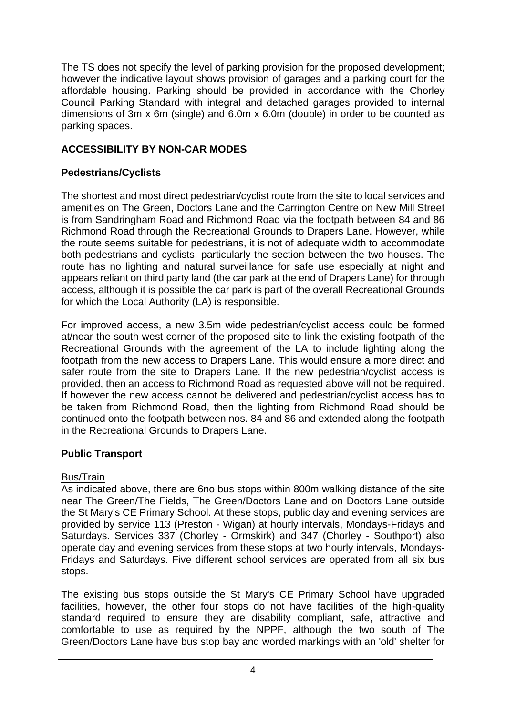The TS does not specify the level of parking provision for the proposed development; however the indicative layout shows provision of garages and a parking court for the affordable housing. Parking should be provided in accordance with the Chorley Council Parking Standard with integral and detached garages provided to internal dimensions of 3m x 6m (single) and 6.0m x 6.0m (double) in order to be counted as parking spaces.

## **ACCESSIBILITY BY NON-CAR MODES**

## **Pedestrians/Cyclists**

The shortest and most direct pedestrian/cyclist route from the site to local services and amenities on The Green, Doctors Lane and the Carrington Centre on New Mill Street is from Sandringham Road and Richmond Road via the footpath between 84 and 86 Richmond Road through the Recreational Grounds to Drapers Lane. However, while the route seems suitable for pedestrians, it is not of adequate width to accommodate both pedestrians and cyclists, particularly the section between the two houses. The route has no lighting and natural surveillance for safe use especially at night and appears reliant on third party land (the car park at the end of Drapers Lane) for through access, although it is possible the car park is part of the overall Recreational Grounds for which the Local Authority (LA) is responsible.

For improved access, a new 3.5m wide pedestrian/cyclist access could be formed at/near the south west corner of the proposed site to link the existing footpath of the Recreational Grounds with the agreement of the LA to include lighting along the footpath from the new access to Drapers Lane. This would ensure a more direct and safer route from the site to Drapers Lane. If the new pedestrian/cyclist access is provided, then an access to Richmond Road as requested above will not be required. If however the new access cannot be delivered and pedestrian/cyclist access has to be taken from Richmond Road, then the lighting from Richmond Road should be continued onto the footpath between nos. 84 and 86 and extended along the footpath in the Recreational Grounds to Drapers Lane.

## **Public Transport**

## Bus/Train

As indicated above, there are 6no bus stops within 800m walking distance of the site near The Green/The Fields, The Green/Doctors Lane and on Doctors Lane outside the St Mary's CE Primary School. At these stops, public day and evening services are provided by service 113 (Preston - Wigan) at hourly intervals, Mondays-Fridays and Saturdays. Services 337 (Chorley - Ormskirk) and 347 (Chorley - Southport) also operate day and evening services from these stops at two hourly intervals, Mondays-Fridays and Saturdays. Five different school services are operated from all six bus stops.

The existing bus stops outside the St Mary's CE Primary School have upgraded facilities, however, the other four stops do not have facilities of the high-quality standard required to ensure they are disability compliant, safe, attractive and comfortable to use as required by the NPPF, although the two south of The Green/Doctors Lane have bus stop bay and worded markings with an 'old' shelter for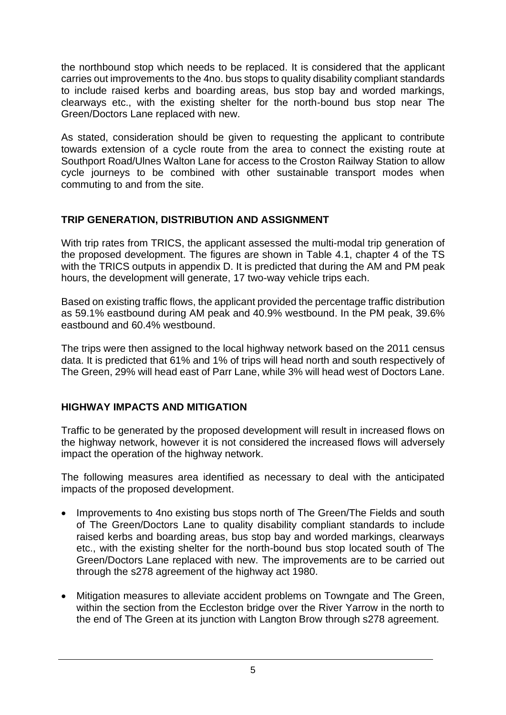the northbound stop which needs to be replaced. It is considered that the applicant carries out improvements to the 4no. bus stops to quality disability compliant standards to include raised kerbs and boarding areas, bus stop bay and worded markings, clearways etc., with the existing shelter for the north-bound bus stop near The Green/Doctors Lane replaced with new.

As stated, consideration should be given to requesting the applicant to contribute towards extension of a cycle route from the area to connect the existing route at Southport Road/Ulnes Walton Lane for access to the Croston Railway Station to allow cycle journeys to be combined with other sustainable transport modes when commuting to and from the site.

# **TRIP GENERATION, DISTRIBUTION AND ASSIGNMENT**

With trip rates from TRICS, the applicant assessed the multi-modal trip generation of the proposed development. The figures are shown in Table 4.1, chapter 4 of the TS with the TRICS outputs in appendix D. It is predicted that during the AM and PM peak hours, the development will generate, 17 two-way vehicle trips each.

Based on existing traffic flows, the applicant provided the percentage traffic distribution as 59.1% eastbound during AM peak and 40.9% westbound. In the PM peak, 39.6% eastbound and 60.4% westbound.

The trips were then assigned to the local highway network based on the 2011 census data. It is predicted that 61% and 1% of trips will head north and south respectively of The Green, 29% will head east of Parr Lane, while 3% will head west of Doctors Lane.

# **HIGHWAY IMPACTS AND MITIGATION**

Traffic to be generated by the proposed development will result in increased flows on the highway network, however it is not considered the increased flows will adversely impact the operation of the highway network.

The following measures area identified as necessary to deal with the anticipated impacts of the proposed development.

- Improvements to 4no existing bus stops north of The Green/The Fields and south of The Green/Doctors Lane to quality disability compliant standards to include raised kerbs and boarding areas, bus stop bay and worded markings, clearways etc., with the existing shelter for the north-bound bus stop located south of The Green/Doctors Lane replaced with new. The improvements are to be carried out through the s278 agreement of the highway act 1980.
- Mitigation measures to alleviate accident problems on Towngate and The Green, within the section from the Eccleston bridge over the River Yarrow in the north to the end of The Green at its junction with Langton Brow through s278 agreement.